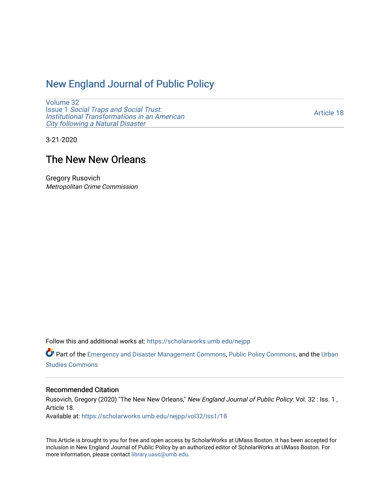# [New England Journal of Public Policy](https://scholarworks.umb.edu/nejpp)

[Volume 32](https://scholarworks.umb.edu/nejpp/vol32) Issue 1 [Social Traps and Social Trust:](https://scholarworks.umb.edu/nejpp/vol32/iss1) [Institutional Transformations in an American](https://scholarworks.umb.edu/nejpp/vol32/iss1)  [City following a Natural Disaster](https://scholarworks.umb.edu/nejpp/vol32/iss1)

[Article 18](https://scholarworks.umb.edu/nejpp/vol32/iss1/18) 

3-21-2020

# The New New Orleans

Gregory Rusovich Metropolitan Crime Commission

Follow this and additional works at: [https://scholarworks.umb.edu/nejpp](https://scholarworks.umb.edu/nejpp?utm_source=scholarworks.umb.edu%2Fnejpp%2Fvol32%2Fiss1%2F18&utm_medium=PDF&utm_campaign=PDFCoverPages)

Part of the [Emergency and Disaster Management Commons,](http://network.bepress.com/hgg/discipline/1321?utm_source=scholarworks.umb.edu%2Fnejpp%2Fvol32%2Fiss1%2F18&utm_medium=PDF&utm_campaign=PDFCoverPages) [Public Policy Commons,](http://network.bepress.com/hgg/discipline/400?utm_source=scholarworks.umb.edu%2Fnejpp%2Fvol32%2Fiss1%2F18&utm_medium=PDF&utm_campaign=PDFCoverPages) and the [Urban](http://network.bepress.com/hgg/discipline/402?utm_source=scholarworks.umb.edu%2Fnejpp%2Fvol32%2Fiss1%2F18&utm_medium=PDF&utm_campaign=PDFCoverPages) [Studies Commons](http://network.bepress.com/hgg/discipline/402?utm_source=scholarworks.umb.edu%2Fnejpp%2Fvol32%2Fiss1%2F18&utm_medium=PDF&utm_campaign=PDFCoverPages) 

#### Recommended Citation

Rusovich, Gregory (2020) "The New New Orleans," New England Journal of Public Policy: Vol. 32 : Iss. 1, Article 18. Available at: [https://scholarworks.umb.edu/nejpp/vol32/iss1/18](https://scholarworks.umb.edu/nejpp/vol32/iss1/18?utm_source=scholarworks.umb.edu%2Fnejpp%2Fvol32%2Fiss1%2F18&utm_medium=PDF&utm_campaign=PDFCoverPages) 

This Article is brought to you for free and open access by ScholarWorks at UMass Boston. It has been accepted for inclusion in New England Journal of Public Policy by an authorized editor of ScholarWorks at UMass Boston. For more information, please contact [library.uasc@umb.edu](mailto:library.uasc@umb.edu).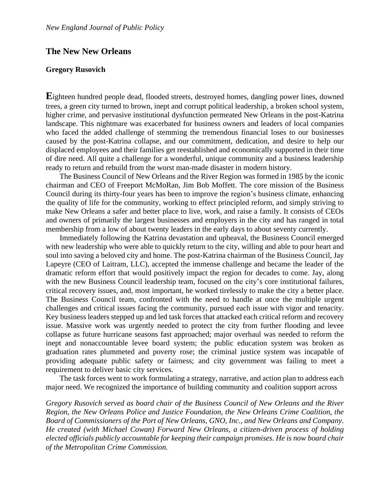### **The New New Orleans**

#### **Gregory Rusovich**

**E**ighteen hundred people dead, flooded streets, destroyed homes, dangling power lines, downed trees, a green city turned to brown, inept and corrupt political leadership, a broken school system, higher crime, and pervasive institutional dysfunction permeated New Orleans in the post-Katrina landscape. This nightmare was exacerbated for business owners and leaders of local companies who faced the added challenge of stemming the tremendous financial loses to our businesses caused by the post-Katrina collapse, and our commitment, dedication, and desire to help our displaced employees and their families get reestablished and economically supported in their time of dire need. All quite a challenge for a wonderful, unique community and a business leadership ready to return and rebuild from the worst man-made disaster in modern history.

The Business Council of New Orleans and the River Region was formed in 1985 by the iconic chairman and CEO of Freeport McMoRan, Jim Bob Moffett. The core mission of the Business Council during its thirty-four years has been to improve the region's business climate, enhancing the quality of life for the community, working to effect principled reform, and simply striving to make New Orleans a safer and better place to live, work, and raise a family. It consists of CEOs and owners of primarily the largest businesses and employers in the city and has ranged in total membership from a low of about twenty leaders in the early days to about seventy currently.

Immediately following the Katrina devastation and upheaval, the Business Council emerged with new leadership who were able to quickly return to the city, willing and able to pour heart and soul into saving a beloved city and home. The post-Katrina chairman of the Business Council, Jay Lapeyre (CEO of Laitram, LLC), accepted the immense challenge and became the leader of the dramatic reform effort that would positively impact the region for decades to come. Jay, along with the new Business Council leadership team, focused on the city's core institutional failures, critical recovery issues, and, most important, he worked tirelessly to make the city a better place. The Business Council team, confronted with the need to handle at once the multiple urgent challenges and critical issues facing the community, pursued each issue with vigor and tenacity. Key business leaders stepped up and led task forces that attacked each critical reform and recovery issue. Massive work was urgently needed to protect the city from further flooding and levee collapse as future hurricane seasons fast approached; major overhaul was needed to reform the inept and nonaccountable levee board system; the public education system was broken as graduation rates plummeted and poverty rose; the criminal justice system was incapable of providing adequate public safety or fairness; and city government was failing to meet a requirement to deliver basic city services.

The task forces went to work formulating a strategy, narrative, and action plan to address each major need. We recognized the importance of building community and coalition support across

*Gregory Rusovich served as board chair of the Business Council of New Orleans and the River Region, the New Orleans Police and Justice Foundation, the New Orleans Crime Coalition, the Board of Commissioners of the Port of New Orleans, GNO, Inc., and New Orleans and Company. He created (with Michael Cowan) Forward New Orleans, a citizen-driven process of holding elected officials publicly accountable for keeping their campaign promises. He is now board chair of the Metropolitan Crime Commission.*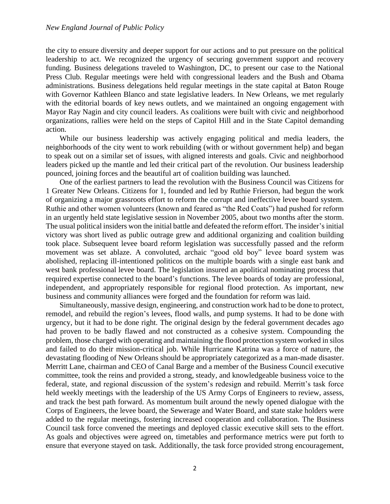the city to ensure diversity and deeper support for our actions and to put pressure on the political leadership to act. We recognized the urgency of securing government support and recovery funding. Business delegations traveled to Washington, DC, to present our case to the National Press Club. Regular meetings were held with congressional leaders and the Bush and Obama administrations. Business delegations held regular meetings in the state capital at Baton Rouge with Governor Kathleen Blanco and state legislative leaders. In New Orleans, we met regularly with the editorial boards of key news outlets, and we maintained an ongoing engagement with Mayor Ray Nagin and city council leaders. As coalitions were built with civic and neighborhood organizations, rallies were held on the steps of Capitol Hill and in the State Capitol demanding action.

While our business leadership was actively engaging political and media leaders, the neighborhoods of the city went to work rebuilding (with or without government help) and began to speak out on a similar set of issues, with aligned interests and goals. Civic and neighborhood leaders picked up the mantle and led their critical part of the revolution. Our business leadership pounced, joining forces and the beautiful art of coalition building was launched.

One of the earliest partners to lead the revolution with the Business Council was Citizens for 1 Greater New Orleans. Citizens for 1, founded and led by Ruthie Frierson, had begun the work of organizing a major grassroots effort to reform the corrupt and ineffective levee board system. Ruthie and other women volunteers (known and feared as "the Red Coats") had pushed for reform in an urgently held state legislative session in November 2005, about two months after the storm. The usual political insiders won the initial battle and defeated the reform effort. The insider's initial victory was short lived as public outrage grew and additional organizing and coalition building took place. Subsequent levee board reform legislation was successfully passed and the reform movement was set ablaze. A convoluted, archaic "good old boy" levee board system was abolished, replacing ill-intentioned politicos on the multiple boards with a single east bank and west bank professional levee board. The legislation insured an apolitical nominating process that required expertise connected to the board's functions. The levee boards of today are professional, independent, and appropriately responsible for regional flood protection. As important, new business and community alliances were forged and the foundation for reform was laid.

Simultaneously, massive design, engineering, and construction work had to be done to protect, remodel, and rebuild the region's levees, flood walls, and pump systems. It had to be done with urgency, but it had to be done right. The original design by the federal government decades ago had proven to be badly flawed and not constructed as a cohesive system. Compounding the problem, those charged with operating and maintaining the flood protection system worked in silos and failed to do their mission-critical job. While Hurricane Katrina was a force of nature, the devastating flooding of New Orleans should be appropriately categorized as a man-made disaster. Merritt Lane, chairman and CEO of Canal Barge and a member of the Business Council executive committee, took the reins and provided a strong, steady, and knowledgeable business voice to the federal, state, and regional discussion of the system's redesign and rebuild. Merritt's task force held weekly meetings with the leadership of the US Army Corps of Engineers to review, assess, and track the best path forward. As momentum built around the newly opened dialogue with the Corps of Engineers, the levee board, the Sewerage and Water Board, and state stake holders were added to the regular meetings, fostering increased cooperation and collaboration. The Business Council task force convened the meetings and deployed classic executive skill sets to the effort. As goals and objectives were agreed on, timetables and performance metrics were put forth to ensure that everyone stayed on task. Additionally, the task force provided strong encouragement,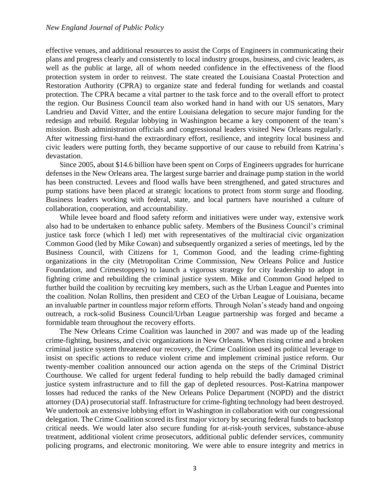effective venues, and additional resources to assist the Corps of Engineers in communicating their plans and progress clearly and consistently to local industry groups, business, and civic leaders, as well as the public at large, all of whom needed confidence in the effectiveness of the flood protection system in order to reinvest. The state created the Louisiana Coastal Protection and Restoration Authority (CPRA) to organize state and federal funding for wetlands and coastal protection. The CPRA became a vital partner to the task force and to the overall effort to protect the region. Our Business Council team also worked hand in hand with our US senators, Mary Landrieu and David Vitter, and the entire Louisiana delegation to secure major funding for the redesign and rebuild. Regular lobbying in Washington became a key component of the team's mission. Bush administration officials and congressional leaders visited New Orleans regularly. After witnessing first-hand the extraordinary effort, resilience, and integrity local business and civic leaders were putting forth, they became supportive of our cause to rebuild from Katrina's devastation.

Since 2005, about \$14.6 billion have been spent on Corps of Engineers upgrades for hurricane defenses in the New Orleans area. The largest surge barrier and drainage pump station in the world has been constructed. Levees and flood walls have been strengthened, and gated structures and pump stations have been placed at strategic locations to protect from storm surge and flooding. Business leaders working with federal, state, and local partners have nourished a culture of collaboration, cooperation, and accountability.

While levee board and flood safety reform and initiatives were under way, extensive work also had to be undertaken to enhance public safety. Members of the Business Council's criminal justice task force (which I led) met with representatives of the multiracial civic organization Common Good (led by Mike Cowan) and subsequently organized a series of meetings, led by the Business Council, with Citizens for 1, Common Good, and the leading crime-fighting organizations in the city (Metropolitan Crime Commission, New Orleans Police and Justice Foundation, and Crimestoppers) to launch a vigorous strategy for city leadership to adopt in fighting crime and rebuilding the criminal justice system. Mike and Common Good helped to further build the coalition by recruiting key members, such as the Urban League and Puentes into the coalition. Nolan Rollins, then president and CEO of the Urban League of Louisiana, became an invaluable partner in countless major reform efforts. Through Nolan's steady hand and ongoing outreach, a rock-solid Business Council/Urban League partnership was forged and became a formidable team throughout the recovery efforts.

The New Orleans Crime Coalition was launched in 2007 and was made up of the leading crime-fighting, business, and civic organizations in New Orleans. When rising crime and a broken criminal justice system threatened our recovery, the Crime Coalition used its political leverage to insist on specific actions to reduce violent crime and implement criminal justice reform. Our twenty-member coalition announced our action agenda on the steps of the Criminal District Courthouse. We called for urgent federal funding to help rebuild the badly damaged criminal justice system infrastructure and to fill the gap of depleted resources. Post-Katrina manpower losses had reduced the ranks of the New Orleans Police Department (NOPD) and the district attorney (DA) prosecutorial staff. Infrastructure for crime-fighting technology had been destroyed. We undertook an extensive lobbying effort in Washington in collaboration with our congressional delegation. The Crime Coalition scored its first major victory by securing federal funds to backstop critical needs. We would later also secure funding for at-risk-youth services, substance-abuse treatment, additional violent crime prosecutors, additional public defender services, community policing programs, and electronic monitoring. We were able to ensure integrity and metrics in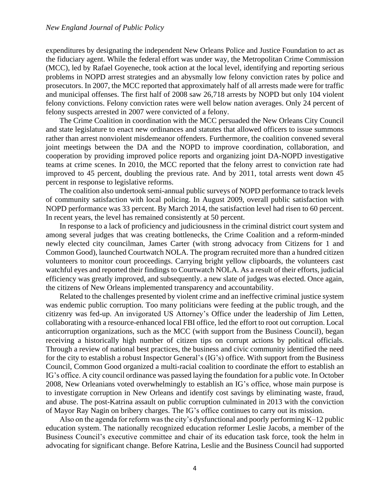expenditures by designating the independent New Orleans Police and Justice Foundation to act as the fiduciary agent. While the federal effort was under way, the Metropolitan Crime Commission (MCC), led by Rafael Goyeneche, took action at the local level, identifying and reporting serious problems in NOPD arrest strategies and an abysmally low felony conviction rates by police and prosecutors. In 2007, the MCC reported that approximately half of all arrests made were for traffic and municipal offenses. The first half of 2008 saw 26,718 arrests by NOPD but only 104 violent felony convictions. Felony conviction rates were well below nation averages. Only 24 percent of felony suspects arrested in 2007 were convicted of a felony.

The Crime Coalition in coordination with the MCC persuaded the New Orleans City Council and state legislature to enact new ordinances and statutes that allowed officers to issue summons rather than arrest nonviolent misdemeanor offenders. Furthermore, the coalition convened several joint meetings between the DA and the NOPD to improve coordination, collaboration, and cooperation by providing improved police reports and organizing joint DA-NOPD investigative teams at crime scenes. In 2010, the MCC reported that the felony arrest to conviction rate had improved to 45 percent, doubling the previous rate. And by 2011, total arrests went down 45 percent in response to legislative reforms.

The coalition also undertook semi-annual public surveys of NOPD performance to track levels of community satisfaction with local policing. In August 2009, overall public satisfaction with NOPD performance was 33 percent. By March 2014, the satisfaction level had risen to 60 percent. In recent years, the level has remained consistently at 50 percent.

In response to a lack of proficiency and judiciousness in the criminal district court system and among several judges that was creating bottlenecks, the Crime Coalition and a reform-minded newly elected city councilman, James Carter (with strong advocacy from Citizens for 1 and Common Good), launched Courtwatch NOLA. The program recruited more than a hundred citizen volunteers to monitor court proceedings. Carrying bright yellow clipboards, the volunteers cast watchful eyes and reported their findings to Courtwatch NOLA. As a result of their efforts, judicial efficiency was greatly improved, and subsequently. a new slate of judges was elected. Once again, the citizens of New Orleans implemented transparency and accountability.

Related to the challenges presented by violent crime and an ineffective criminal justice system was endemic public corruption. Too many politicians were feeding at the public trough, and the citizenry was fed-up. An invigorated US Attorney's Office under the leadership of Jim Letten, collaborating with a resource-enhanced local FBI office, led the effort to root out corruption. Local anticorruption organizations, such as the MCC (with support from the Business Council), began receiving a historically high number of citizen tips on corrupt actions by political officials. Through a review of national best practices, the business and civic community identified the need for the city to establish a robust Inspector General's (IG's) office. With support from the Business Council, Common Good organized a multi-racial coalition to coordinate the effort to establish an IG's office. A city council ordinance was passed laying the foundation for a public vote. In October 2008, New Orleanians voted overwhelmingly to establish an IG's office, whose main purpose is to investigate corruption in New Orleans and identify cost savings by eliminating waste, fraud, and abuse. The post-Katrina assault on public corruption culminated in 2013 with the conviction of Mayor Ray Nagin on bribery charges. The IG's office continues to carry out its mission.

Also on the agenda for reform was the city's dysfunctional and poorly performing K–12 public education system. The nationally recognized education reformer Leslie Jacobs, a member of the Business Council's executive committee and chair of its education task force, took the helm in advocating for significant change. Before Katrina, Leslie and the Business Council had supported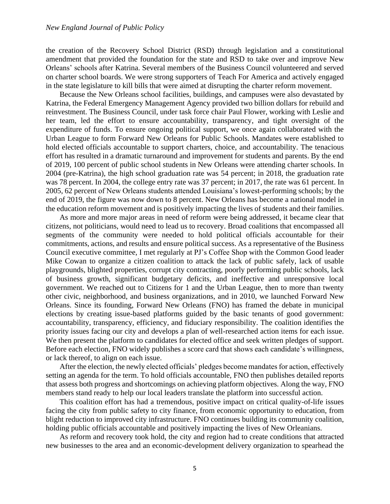the creation of the Recovery School District (RSD) through legislation and a constitutional amendment that provided the foundation for the state and RSD to take over and improve New Orleans' schools after Katrina. Several members of the Business Council volunteered and served on charter school boards. We were strong supporters of Teach For America and actively engaged in the state legislature to kill bills that were aimed at disrupting the charter reform movement.

Because the New Orleans school facilities, buildings, and campuses were also devastated by Katrina, the Federal Emergency Management Agency provided two billion dollars for rebuild and reinvestment. The Business Council, under task force chair Paul Flower, working with Leslie and her team, led the effort to ensure accountability, transparency, and tight oversight of the expenditure of funds. To ensure ongoing political support, we once again collaborated with the Urban League to form Forward New Orleans for Public Schools. Mandates were established to hold elected officials accountable to support charters, choice, and accountability. The tenacious effort has resulted in a dramatic turnaround and improvement for students and parents. By the end of 2019, 100 percent of public school students in New Orleans were attending charter schools. In 2004 (pre-Katrina), the high school graduation rate was 54 percent; in 2018, the graduation rate was 78 percent. In 2004, the college entry rate was 37 percent; in 2017, the rate was 61 percent. In 2005, 62 percent of New Orleans students attended Louisiana's lowest-performing schools; by the end of 2019, the figure was now down to 8 percent. New Orleans has become a national model in the education reform movement and is positively impacting the lives of students and their families.

As more and more major areas in need of reform were being addressed, it became clear that citizens, not politicians, would need to lead us to recovery. Broad coalitions that encompassed all segments of the community were needed to hold political officials accountable for their commitments, actions, and results and ensure political success. As a representative of the Business Council executive committee, I met regularly at PJ's Coffee Shop with the Common Good leader Mike Cowan to organize a citizen coalition to attack the lack of public safely, lack of usable playgrounds, blighted properties, corrupt city contracting, poorly performing public schools, lack of business growth, significant budgetary deficits, and ineffective and unresponsive local government. We reached out to Citizens for 1 and the Urban League, then to more than twenty other civic, neighborhood, and business organizations, and in 2010, we launched Forward New Orleans. Since its founding, Forward New Orleans (FNO) has framed the debate in municipal elections by creating issue-based platforms guided by the basic tenants of good government: accountability, transparency, efficiency, and fiduciary responsibility. The coalition identifies the priority issues facing our city and develops a plan of well-researched action items for each issue. We then present the platform to candidates for elected office and seek written pledges of support. Before each election, FNO widely publishes a score card that shows each candidate's willingness, or lack thereof, to align on each issue.

After the election, the newly elected officials' pledges become mandates for action, effectively setting an agenda for the term. To hold officials accountable, FNO then publishes detailed reports that assess both progress and shortcomings on achieving platform objectives. Along the way, FNO members stand ready to help our local leaders translate the platform into successful action.

This coalition effort has had a tremendous, positive impact on critical quality-of-life issues facing the city from public safety to city finance, from economic opportunity to education, from blight reduction to improved city infrastructure. FNO continues building its community coalition, holding public officials accountable and positively impacting the lives of New Orleanians.

As reform and recovery took hold, the city and region had to create conditions that attracted new businesses to the area and an economic-development delivery organization to spearhead the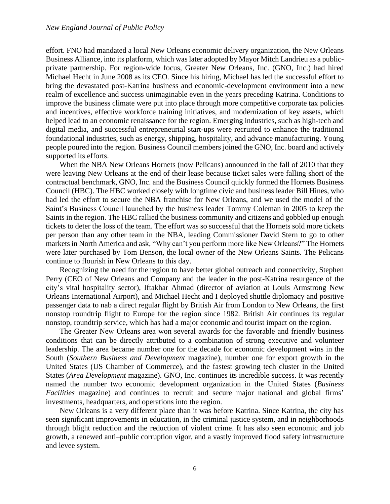effort. FNO had mandated a local New Orleans economic delivery organization, the New Orleans Business Alliance, into its platform, which was later adopted by Mayor Mitch Landrieu as a publicprivate partnership. For region-wide focus, Greater New Orleans, Inc. (GNO, Inc.) had hired Michael Hecht in June 2008 as its CEO. Since his hiring, Michael has led the successful effort to bring the devastated post-Katrina business and economic-development environment into a new realm of excellence and success unimaginable even in the years preceding Katrina. Conditions to improve the business climate were put into place through more competitive corporate tax policies and incentives, effective workforce training initiatives, and modernization of key assets, which helped lead to an economic renaissance for the region. Emerging industries, such as high-tech and digital media, and successful entrepreneurial start-ups were recruited to enhance the traditional foundational industries, such as energy, shipping, hospitality, and advance manufacturing. Young people poured into the region. Business Council members joined the GNO, Inc. board and actively supported its efforts.

When the NBA New Orleans Hornets (now Pelicans) announced in the fall of 2010 that they were leaving New Orleans at the end of their lease because ticket sales were falling short of the contractual benchmark, GNO, Inc. and the Business Council quickly formed the Hornets Business Council (HBC). The HBC worked closely with longtime civic and business leader Bill Hines, who had led the effort to secure the NBA franchise for New Orleans, and we used the model of the Saint's Business Council launched by the business leader Tommy Coleman in 2005 to keep the Saints in the region. The HBC rallied the business community and citizens and gobbled up enough tickets to deter the loss of the team. The effort was so successful that the Hornets sold more tickets per person than any other team in the NBA, leading Commissioner David Stern to go to other markets in North America and ask, "Why can't you perform more like New Orleans?" The Hornets were later purchased by Tom Benson, the local owner of the New Orleans Saints. The Pelicans continue to flourish in New Orleans to this day.

Recognizing the need for the region to have better global outreach and connectivity, Stephen Perry (CEO of New Orleans and Company and the leader in the post-Katrina resurgence of the city's vital hospitality sector), Iftakhar Ahmad (director of aviation at Louis Armstrong New Orleans International Airport), and Michael Hecht and I deployed shuttle diplomacy and positive passenger data to nab a direct regular flight by British Air from London to New Orleans, the first nonstop roundtrip flight to Europe for the region since 1982. British Air continues its regular nonstop, roundtrip service, which has had a major economic and tourist impact on the region.

The Greater New Orleans area won several awards for the favorable and friendly business conditions that can be directly attributed to a combination of strong executive and volunteer leadership. The area became number one for the decade for economic development wins in the South (*Southern Business and Development* magazine), number one for export growth in the United States (US Chamber of Commerce), and the fastest growing tech cluster in the United States (*Area Development* magazine). GNO, Inc. continues its incredible success. It was recently named the number two economic development organization in the United States (*Business Facilities* magazine) and continues to recruit and secure major national and global firms' investments, headquarters, and operations into the region.

New Orleans is a very different place than it was before Katrina. Since Katrina, the city has seen significant improvements in education, in the criminal justice system, and in neighborhoods through blight reduction and the reduction of violent crime. It has also seen economic and job growth, a renewed anti–public corruption vigor, and a vastly improved flood safety infrastructure and levee system.